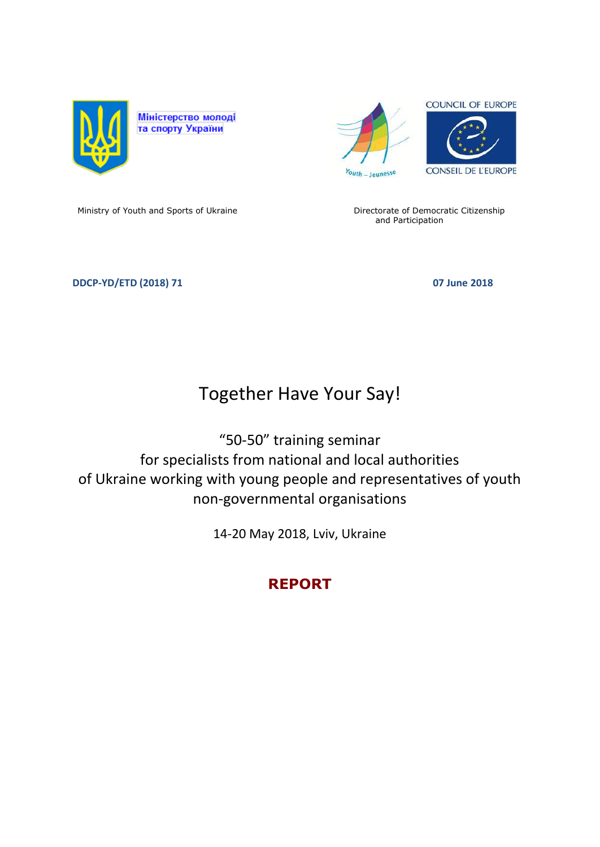



Ministry of Youth and Sports of Ukraine **Directorate of Democratic Citizenship** 

and Participation

### **DDCP-YD/ETD (2018) 71** 07 June 2018

# Together Have Your Say!

"50-50" training seminar for specialists from national and local authorities of Ukraine working with young people and representatives of youth non-governmental organisations

14-20 May 2018, Lviv, Ukraine

# **REPORT**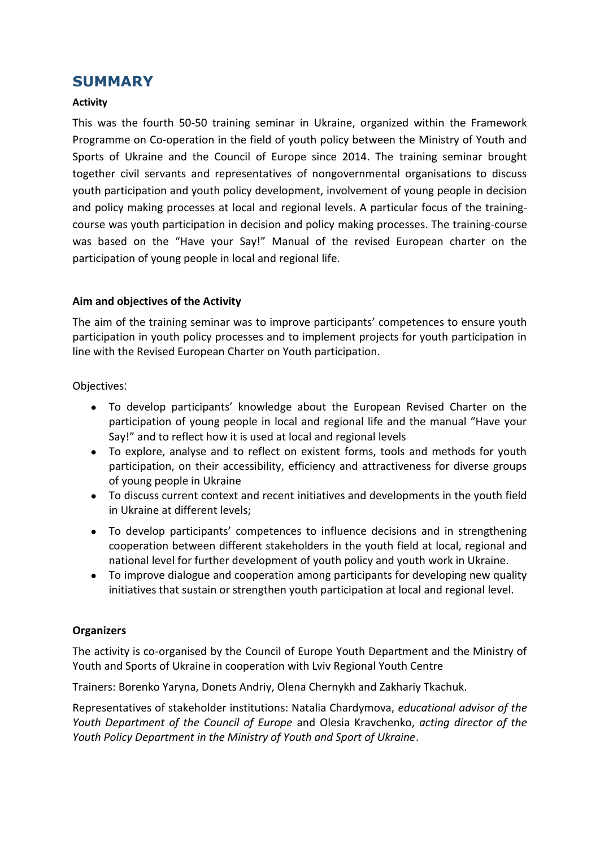# **SUMMARY**

#### **Activity**

This was the fourth 50-50 training seminar in Ukraine, organized within the Framework Programme on Co-operation in the field of youth policy between the Ministry of Youth and Sports of Ukraine and the Council of Europe since 2014. The training seminar brought together civil servants and representatives of nongovernmental organisations to discuss youth participation and youth policy development, involvement of young people in decision and policy making processes at local and regional levels. A particular focus of the trainingcourse was youth participation in decision and policy making processes. The training-course was based on the "Have your Say!" Manual of the revised European charter on the participation of young people in local and regional life.

### **Aim and objectives of the Activity**

The aim of the training seminar was to improve participants' competences to ensure youth participation in youth policy processes and to implement projects for youth participation in line with the Revised European Charter on Youth participation.

Objectives:

- To develop participants' knowledge about the European Revised Charter on the participation of young people in local and regional life and the manual "Have your Say!" and to reflect how it is used at local and regional levels
- To explore, analyse and to reflect on existent forms, tools and methods for youth participation, on their accessibility, efficiency and attractiveness for diverse groups of young people in Ukraine
- To discuss current context and recent initiatives and developments in the youth field in Ukraine at different levels;
- To develop participants' competences to influence decisions and in strengthening cooperation between different stakeholders in the youth field at local, regional and national level for further development of youth policy and youth work in Ukraine.
- To improve dialogue and cooperation among participants for developing new quality initiatives that sustain or strengthen youth participation at local and regional level.

#### **Organizers**

The activity is co-organised by the Council of Europe Youth Department and the Ministry of Youth and Sports of Ukraine in cooperation with Lviv Regional Youth Centre

Trainers: Borenko Yaryna, Donets Andriy, Olena Chernykh and Zakhariy Tkachuk.

Representatives of stakeholder institutions: Natalia Chardymova, *educational advisor of the Youth Department of the Council of Europe* and Olesia Kravchenko, *acting director of the Youth Policy Department in the Ministry of Youth and Sport of Ukraine*.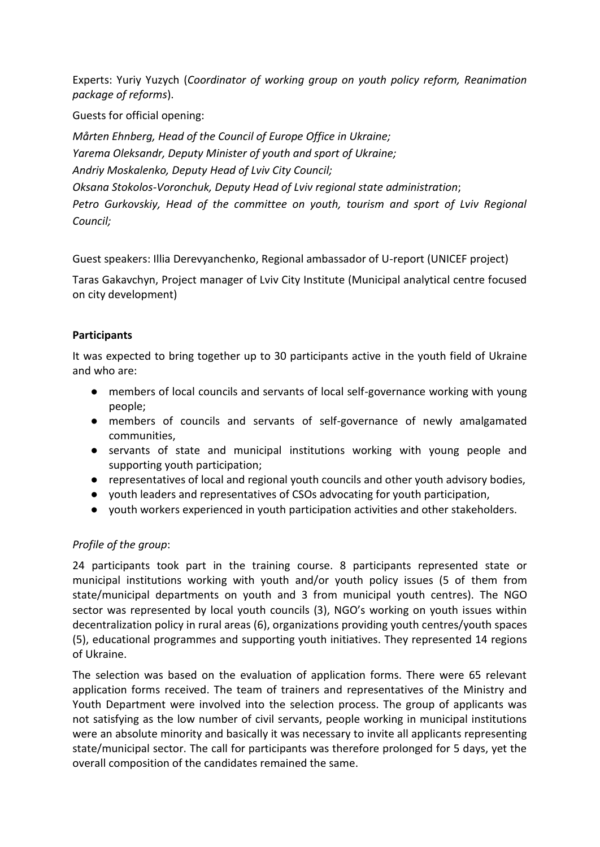Experts: Yuriy Yuzych (*Coordinator of working group on youth policy reform, Reanimation package of reforms*).

Guests for official opening:

*Мårten Ehnberg, Head of the Council of Europe Office in Ukraine; Yarema Oleksandr, Deputy Minister of youth and sport of Ukraine; Andriy Moskalenko, Deputy Head of Lviv City Council; Oksana Stokolos-Voronchuk, Deputy Head of Lviv regional state administration*; Petro Gurkovskiy, Head of the committee on youth, tourism and sport of Lviv Regional *Council;* 

Guest speakers: Illia Derevyanchenko, Regional ambassador of U-report (UNICEF project)

Taras Gakavchyn, Project manager of Lviv City Institute (Municipal analytical centre focused on city development)

# **Participants**

It was expected to bring together up to 30 participants active in the youth field of Ukraine and who are:

- members of local councils and servants of local self-governance working with young people;
- members of councils and servants of self-governance of newly amalgamated communities,
- servants of state and municipal institutions working with young people and supporting youth participation;
- representatives of local and regional youth councils and other youth advisory bodies,
- youth leaders and representatives of CSOs advocating for youth participation,
- youth workers experienced in youth participation activities and other stakeholders.

# *Profile of the group*:

24 participants took part in the training course. 8 participants represented state or municipal institutions working with youth and/or youth policy issues (5 of them from state/municipal departments on youth and 3 from municipal youth centres). The NGO sector was represented by local youth councils (3), NGO's working on youth issues within decentralization policy in rural areas (6), organizations providing youth centres/youth spaces (5), educational programmes and supporting youth initiatives. They represented 14 regions of Ukraine.

The selection was based on the evaluation of application forms. There were 65 relevant application forms received. The team of trainers and representatives of the Ministry and Youth Department were involved into the selection process. The group of applicants was not satisfying as the low number of civil servants, people working in municipal institutions were an absolute minority and basically it was necessary to invite all applicants representing state/municipal sector. The call for participants was therefore prolonged for 5 days, yet the overall composition of the candidates remained the same.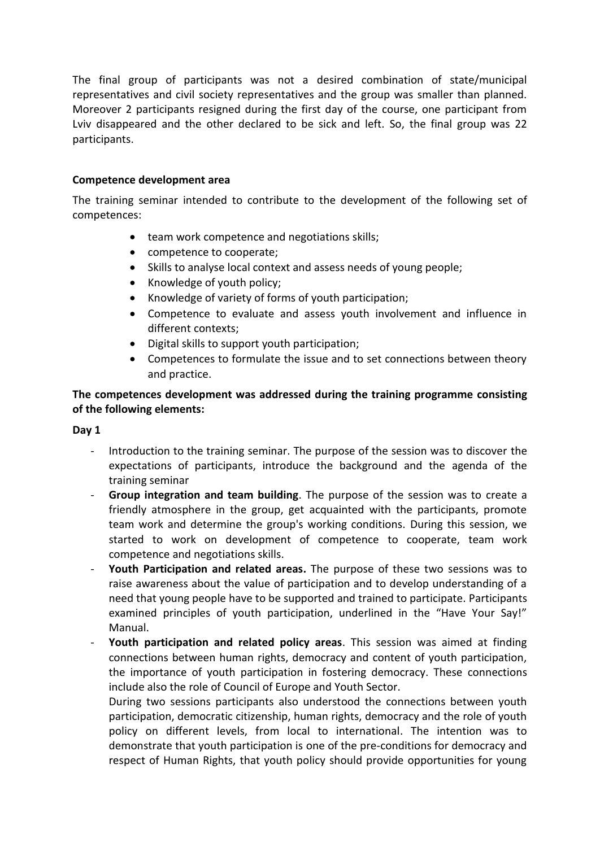The final group of participants was not a desired combination of state/municipal representatives and civil society representatives and the group was smaller than planned. Moreover 2 participants resigned during the first day of the course, one participant from Lviv disappeared and the other declared to be sick and left. So, the final group was 22 participants.

#### **Competence development area**

The training seminar intended to contribute to the development of the following set of competences:

- team work competence and negotiations skills;
- competence to cooperate;
- Skills to analyse local context and assess needs of young people;
- Knowledge of youth policy;
- Knowledge of variety of forms of youth participation;
- Competence to evaluate and assess youth involvement and influence in different contexts;
- Digital skills to support youth participation;
- Competences to formulate the issue and to set connections between theory and practice.

# **The competences development was addressed during the training programme consisting of the following elements:**

#### **Day 1**

- Introduction to the training seminar. The purpose of the session was to discover the expectations of participants, introduce the background and the agenda of the training seminar
- Group integration and team building. The purpose of the session was to create a friendly atmosphere in the group, get acquainted with the participants, promote team work and determine the group's working conditions. During this session, we started to work on development of competence to cooperate, team work competence and negotiations skills.
- **Youth Participation and related areas.** The purpose of these two sessions was to raise awareness about the value of participation and to develop understanding of a need that young people have to be supported and trained to participate. Participants examined principles of youth participation, underlined in the "Have Your Say!" Manual.
- **Youth participation and related policy areas**. This session was aimed at finding connections between human rights, democracy and content of youth participation, the importance of youth participation in fostering democracy. These connections include also the role of Council of Europe and Youth Sector.

During two sessions participants also understood the connections between youth participation, democratic citizenship, human rights, democracy and the role of youth policy on different levels, from local to international. The intention was to demonstrate that youth participation is one of the pre-conditions for democracy and respect of Human Rights, that youth policy should provide opportunities for young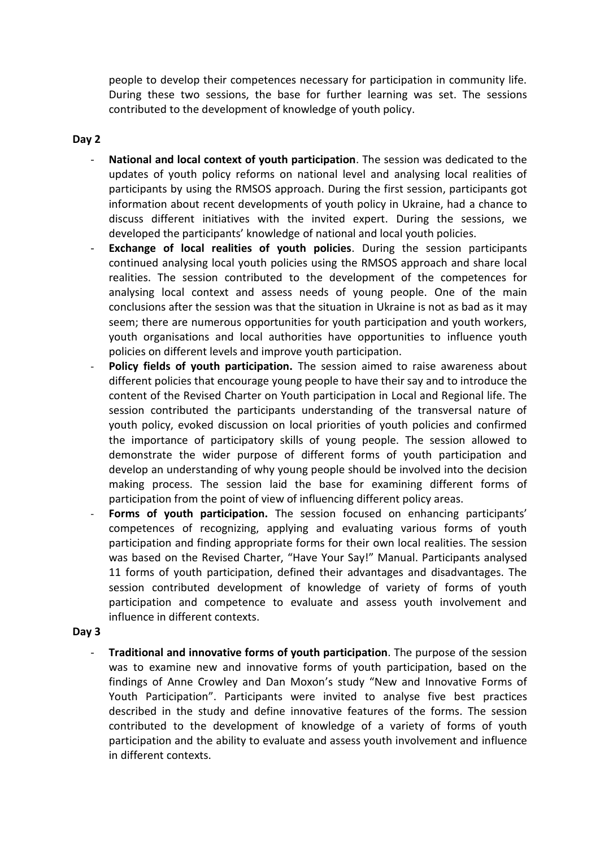people to develop their competences necessary for participation in community life. During these two sessions, the base for further learning was set. The sessions contributed to the development of knowledge of youth policy.

#### **Day 2**

- **National and local context of youth participation**. The session was dedicated to the updates of youth policy reforms on national level and analysing local realities of participants by using the RMSOS approach. During the first session, participants got information about recent developments of youth policy in Ukraine, had a chance to discuss different initiatives with the invited expert. During the sessions, we developed the participants' knowledge of national and local youth policies.
- **Exchange of local realities of youth policies**. During the session participants continued analysing local youth policies using the RMSOS approach and share local realities. The session contributed to the development of the competences for analysing local context and assess needs of young people. One of the main conclusions after the session was that the situation in Ukraine is not as bad as it may seem; there are numerous opportunities for youth participation and youth workers, youth organisations and local authorities have opportunities to influence youth policies on different levels and improve youth participation.
- Policy fields of youth participation. The session aimed to raise awareness about different policies that encourage young people to have their say and to introduce the content of the Revised Charter on Youth participation in Local and Regional life. The session contributed the participants understanding of the transversal nature of youth policy, evoked discussion on local priorities of youth policies and confirmed the importance of participatory skills of young people. The session allowed to demonstrate the wider purpose of different forms of youth participation and develop an understanding of why young people should be involved into the decision making process. The session laid the base for examining different forms of participation from the point of view of influencing different policy areas.
- Forms of youth participation. The session focused on enhancing participants' competences of recognizing, applying and evaluating various forms of youth participation and finding appropriate forms for their own local realities. The session was based on the Revised Charter, "Have Your Say!" Manual. Participants analysed 11 forms of youth participation, defined their advantages and disadvantages. The session contributed development of knowledge of variety of forms of youth participation and competence to evaluate and assess youth involvement and influence in different contexts.

#### **Day 3**

- **Traditional and innovative forms of youth participation**. The purpose of the session was to examine new and innovative forms of youth participation, based on the findings of Anne Crowley and Dan Moxon's study "New and Innovative Forms of Youth Participation". Participants were invited to analyse five best practices described in the study and define innovative features of the forms. The session contributed to the development of knowledge of a variety of forms of youth participation and the ability to evaluate and assess youth involvement and influence in different contexts.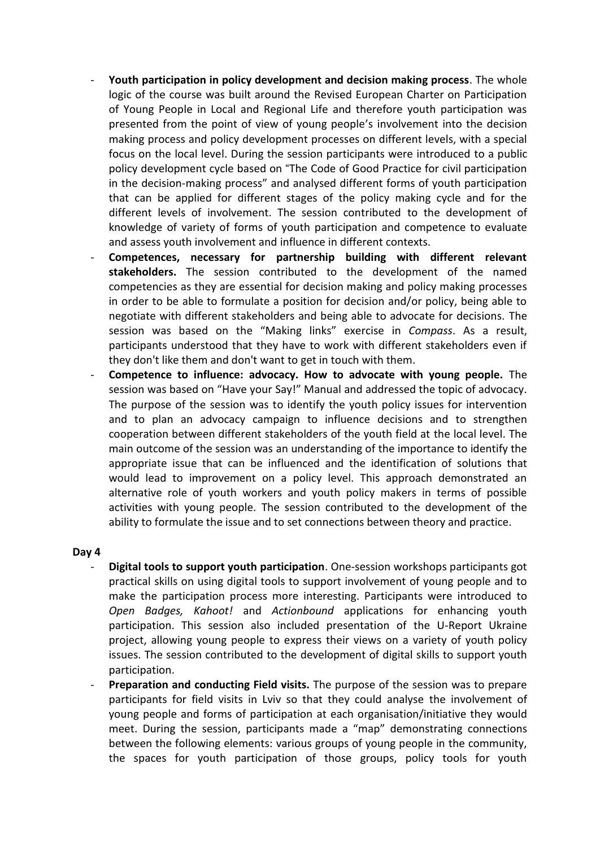- **Youth participation in policy development and decision making process**. The whole logic of the course was built around the Revised European Charter on Participation of Young People in Local and Regional Life and therefore youth participation was presented from the point of view of young people's involvement into the decision making process and policy development processes on different levels, with a special focus on the local level. During the session participants were introduced to a public policy development cycle based on "The Code of Good Practice for civil participation in the decision-making process" and analysed different forms of youth participation that can be applied for different stages of the policy making cycle and for the different levels of involvement. The session contributed to the development of knowledge of variety of forms of youth participation and competence to evaluate and assess youth involvement and influence in different contexts.
- **Competences, necessary for partnership building with different relevant stakeholders.** The session contributed to the development of the named competencies as they are essential for decision making and policy making processes in order to be able to formulate a position for decision and/or policy, being able to negotiate with different stakeholders and being able to advocate for decisions. The session was based on the "Making links" exercise in *Compass*. As a result, participants understood that they have to work with different stakeholders even if they don't like them and don't want to get in touch with them.
- **Competence to influence: advocacy. How to advocate with young people.** The session was based on "Have your Say!" Manual and addressed the topic of advocacy. The purpose of the session was to identify the youth policy issues for intervention and to plan an advocacy campaign to influence decisions and to strengthen cooperation between different stakeholders of the youth field at the local level. The main outcome of the session was an understanding of the importance to identify the appropriate issue that can be influenced and the identification of solutions that would lead to improvement on a policy level. This approach demonstrated an alternative role of youth workers and youth policy makers in terms of possible activities with young people. The session contributed to the development of the ability to formulate the issue and to set connections between theory and practice.

#### **Day 4**

- **Digital tools to support youth participation**. One-session workshops participants got practical skills on using digital tools to support involvement of young people and to make the participation process more interesting. Participants were introduced to *Open Badges, Kahoot!* and *Actionbound* applications for enhancing youth participation. This session also included presentation of the U-Report Ukraine project, allowing young people to express their views on a variety of youth policy issues. The session contributed to the development of digital skills to support youth participation.
- **Preparation and conducting Field visits.** The purpose of the session was to prepare participants for field visits in Lviv so that they could analyse the involvement of young people and forms of participation at each organisation/initiative they would meet. During the session, participants made a "map" demonstrating connections between the following elements: various groups of young people in the community, the spaces for youth participation of those groups, policy tools for youth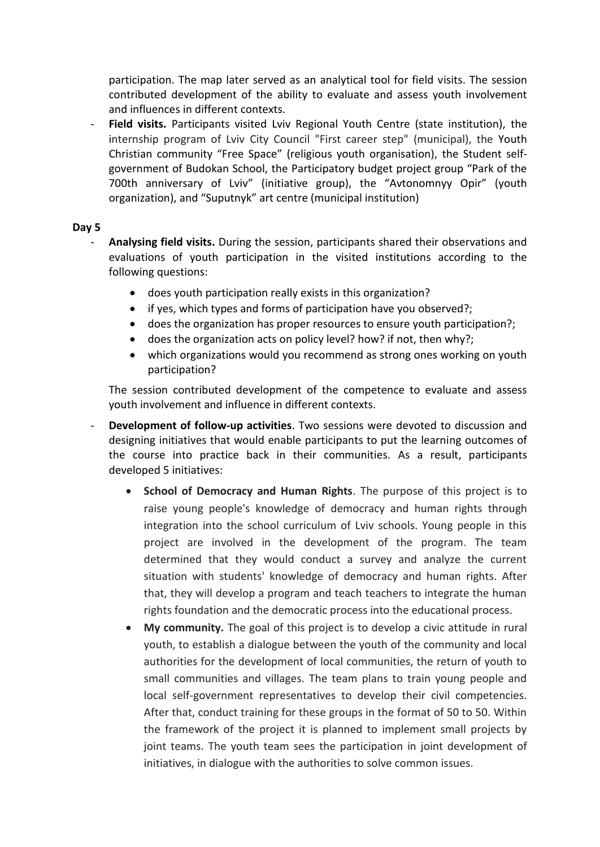participation. The map later served as an analytical tool for field visits. The session contributed development of the ability to evaluate and assess youth involvement and influences in different contexts.

Field visits. Participants visited Lviv Regional Youth Centre (state institution), the internship program of Lviv City Council "First career step" (municipal), the Youth Christian community "Free Space" (religious youth organisation), the Student selfgovernment of Budokan School, the Participatory budget project group "Park of the 700th anniversary of Lviv" (initiative group), the "Avtonomnyy Opir" (youth organization), and "Suputnyk" art centre (municipal institution)

#### **Day 5**

- **Analysing field visits.** During the session, participants shared their observations and evaluations of youth participation in the visited institutions according to the following questions:
	- does youth participation really exists in this organization?
	- if yes, which types and forms of participation have you observed?;
	- does the organization has proper resources to ensure youth participation?;
	- does the organization acts on policy level? how? if not, then why?;
	- which organizations would you recommend as strong ones working on youth participation?

The session contributed development of the competence to evaluate and assess youth involvement and influence in different contexts.

- **Development of follow-up activities**. Two sessions were devoted to discussion and designing initiatives that would enable participants to put the learning outcomes of the course into practice back in their communities. As a result, participants developed 5 initiatives:
	- **School of Democracy and Human Rights**. The purpose of this project is to raise young people's knowledge of democracy and human rights through integration into the school curriculum of Lviv schools. Young people in this project are involved in the development of the program. The team determined that they would conduct a survey and analyze the current situation with students' knowledge of democracy and human rights. After that, they will develop a program and teach teachers to integrate the human rights foundation and the democratic process into the educational process.
	- **My community.** The goal of this project is to develop a civic attitude in rural youth, to establish a dialogue between the youth of the community and local authorities for the development of local communities, the return of youth to small communities and villages. The team plans to train young people and local self-government representatives to develop their civil competencies. After that, conduct training for these groups in the format of 50 to 50. Within the framework of the project it is planned to implement small projects by joint teams. The youth team sees the participation in joint development of initiatives, in dialogue with the authorities to solve common issues.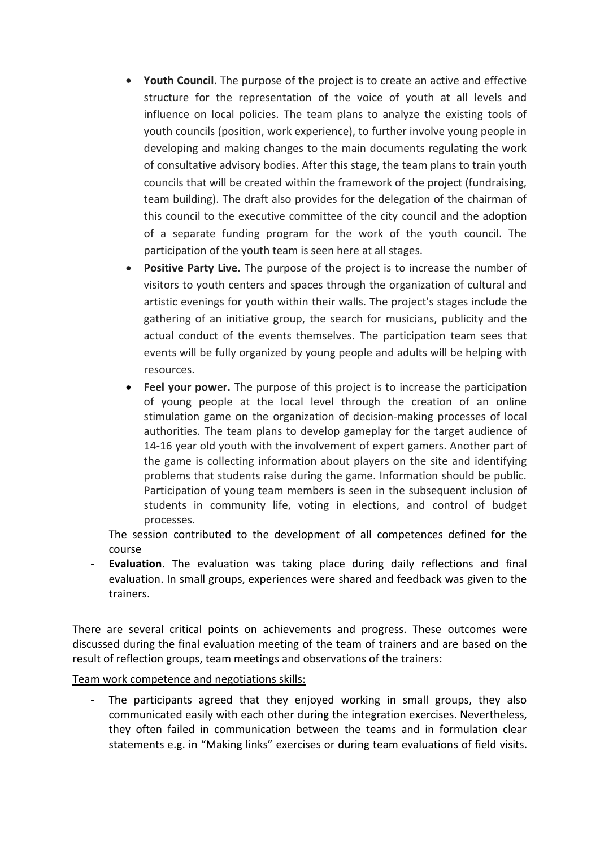- **Youth Council**. The purpose of the project is to create an active and effective structure for the representation of the voice of youth at all levels and influence on local policies. The team plans to analyze the existing tools of youth councils (position, work experience), to further involve young people in developing and making changes to the main documents regulating the work of consultative advisory bodies. After this stage, the team plans to train youth councils that will be created within the framework of the project (fundraising, team building). The draft also provides for the delegation of the chairman of this council to the executive committee of the city council and the adoption of a separate funding program for the work of the youth council. The participation of the youth team is seen here at all stages.
- **Positive Party Live.** The purpose of the project is to increase the number of visitors to youth centers and spaces through the organization of cultural and artistic evenings for youth within their walls. The project's stages include the gathering of an initiative group, the search for musicians, publicity and the actual conduct of the events themselves. The participation team sees that events will be fully organized by young people and adults will be helping with resources.
- **Feel your power.** The purpose of this project is to increase the participation of young people at the local level through the creation of an online stimulation game on the organization of decision-making processes of local authorities. The team plans to develop gameplay for the target audience of 14-16 year old youth with the involvement of expert gamers. Another part of the game is collecting information about players on the site and identifying problems that students raise during the game. Information should be public. Participation of young team members is seen in the subsequent inclusion of students in community life, voting in elections, and control of budget processes.

The session contributed to the development of all competences defined for the course

**Evaluation**. The evaluation was taking place during daily reflections and final evaluation. In small groups, experiences were shared and feedback was given to the trainers.

There are several critical points on achievements and progress. These outcomes were discussed during the final evaluation meeting of the team of trainers and are based on the result of reflection groups, team meetings and observations of the trainers:

Team work competence and negotiations skills:

The participants agreed that they enjoyed working in small groups, they also communicated easily with each other during the integration exercises. Nevertheless, they often failed in communication between the teams and in formulation clear statements e.g. in "Making links" exercises or during team evaluations of field visits.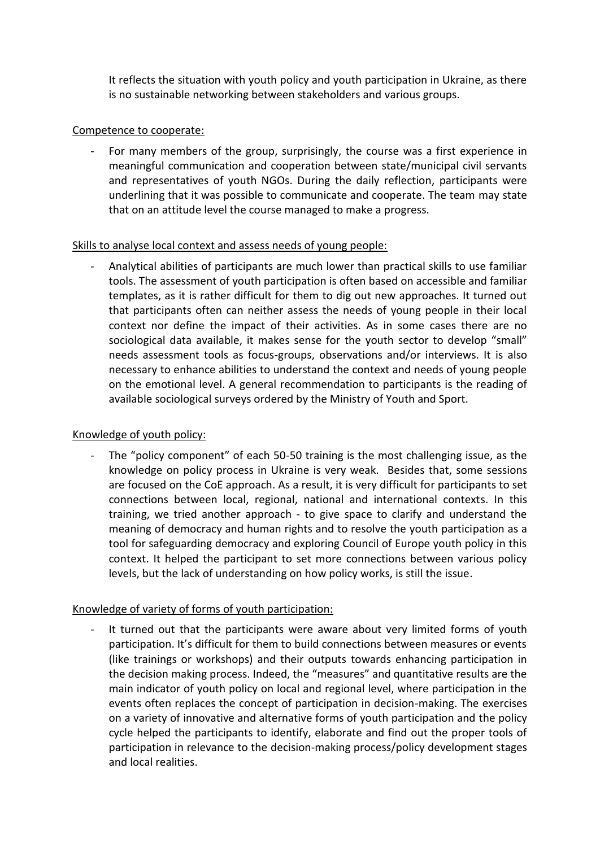It reflects the situation with youth policy and youth participation in Ukraine, as there is no sustainable networking between stakeholders and various groups.

### Competence to cooperate:

For many members of the group, surprisingly, the course was a first experience in meaningful communication and cooperation between state/municipal civil servants and representatives of youth NGOs. During the daily reflection, participants were underlining that it was possible to communicate and cooperate. The team may state that on an attitude level the course managed to make a progress.

#### Skills to analyse local context and assess needs of young people:

- Analytical abilities of participants are much lower than practical skills to use familiar tools. The assessment of youth participation is often based on accessible and familiar templates, as it is rather difficult for them to dig out new approaches. It turned out that participants often can neither assess the needs of young people in their local context nor define the impact of their activities. As in some cases there are no sociological data available, it makes sense for the youth sector to develop "small" needs assessment tools as focus-groups, observations and/or interviews. It is also necessary to enhance abilities to understand the context and needs of young people on the emotional level. A general recommendation to participants is the reading of available sociological surveys ordered by the Ministry of Youth and Sport.

#### Knowledge of youth policy:

The "policy component" of each 50-50 training is the most challenging issue, as the knowledge on policy process in Ukraine is very weak. Besides that, some sessions are focused on the CoE approach. As a result, it is very difficult for participants to set connections between local, regional, national and international contexts. In this training, we tried another approach - to give space to clarify and understand the meaning of democracy and human rights and to resolve the youth participation as a tool for safeguarding democracy and exploring Council of Europe youth policy in this context. It helped the participant to set more connections between various policy levels, but the lack of understanding on how policy works, is still the issue.

#### Knowledge of variety of forms of youth participation:

It turned out that the participants were aware about very limited forms of youth participation. It's difficult for them to build connections between measures or events (like trainings or workshops) and their outputs towards enhancing participation in the decision making process. Indeed, the "measures" and quantitative results are the main indicator of youth policy on local and regional level, where participation in the events often replaces the concept of participation in decision-making. The exercises on a variety of innovative and alternative forms of youth participation and the policy cycle helped the participants to identify, elaborate and find out the proper tools of participation in relevance to the decision-making process/policy development stages and local realities.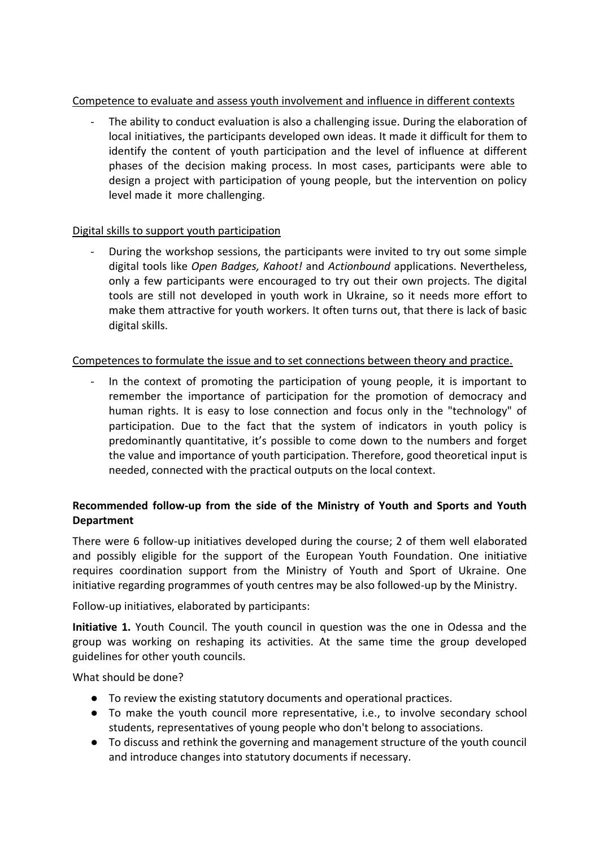# Competence to evaluate and assess youth involvement and influence in different contexts

- The ability to conduct evaluation is also a challenging issue. During the elaboration of local initiatives, the participants developed own ideas. It made it difficult for them to identify the content of youth participation and the level of influence at different phases of the decision making process. In most cases, participants were able to design a project with participation of young people, but the intervention on policy level made it more challenging.

# Digital skills to support youth participation

During the workshop sessions, the participants were invited to try out some simple digital tools like *Open Badges, Kahoot!* and *Actionbound* applications. Nevertheless, only a few participants were encouraged to try out their own projects. The digital tools are still not developed in youth work in Ukraine, so it needs more effort to make them attractive for youth workers. It often turns out, that there is lack of basic digital skills.

# Competences to formulate the issue and to set connections between theory and practice.

In the context of promoting the participation of young people, it is important to remember the importance of participation for the promotion of democracy and human rights. It is easy to lose connection and focus only in the "technology" of participation. Due to the fact that the system of indicators in youth policy is predominantly quantitative, it's possible to come down to the numbers and forget the value and importance of youth participation. Therefore, good theoretical input is needed, connected with the practical outputs on the local context.

# **Recommended follow-up from the side of the Ministry of Youth and Sports and Youth Department**

There were 6 follow-up initiatives developed during the course; 2 of them well elaborated and possibly eligible for the support of the European Youth Foundation. One initiative requires coordination support from the Ministry of Youth and Sport of Ukraine. One initiative regarding programmes of youth centres may be also followed-up by the Ministry.

Follow-up initiatives, elaborated by participants:

**Initiative 1.** Youth Council. The youth council in question was the one in Odessa and the group was working on reshaping its activities. At the same time the group developed guidelines for other youth councils.

What should be done?

- To review the existing statutory documents and operational practices.
- To make the youth council more representative, i.e., to involve secondary school students, representatives of young people who don't belong to associations.
- To discuss and rethink the governing and management structure of the youth council and introduce changes into statutory documents if necessary.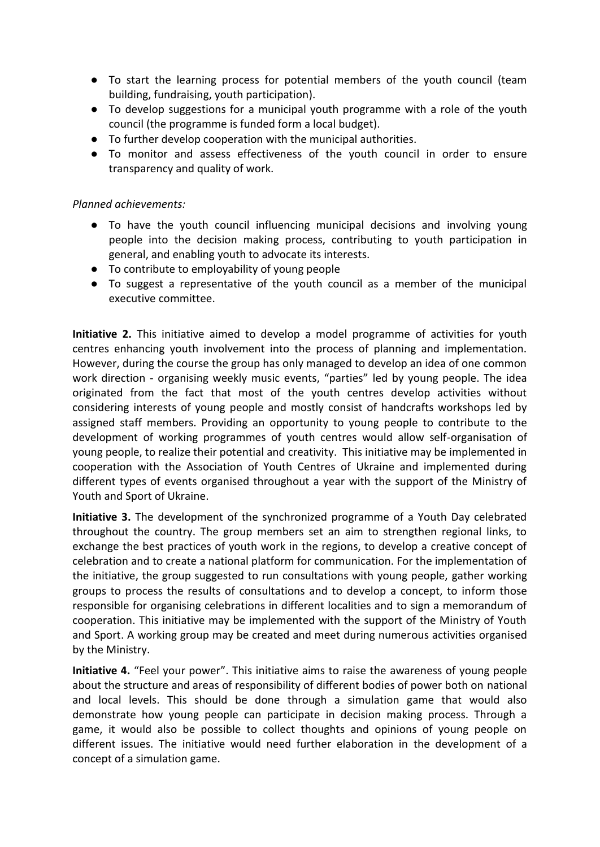- To start the learning process for potential members of the youth council (team building, fundraising, youth participation).
- To develop suggestions for a municipal youth programme with a role of the youth council (the programme is funded form a local budget).
- To further develop cooperation with the municipal authorities.
- To monitor and assess effectiveness of the youth council in order to ensure transparency and quality of work.

### *Planned achievements:*

- To have the youth council influencing municipal decisions and involving young people into the decision making process, contributing to youth participation in general, and enabling youth to advocate its interests.
- To contribute to employability of young people
- To suggest a representative of the youth council as a member of the municipal executive committee.

**Initiative 2.** This initiative aimed to develop a model programme of activities for youth centres enhancing youth involvement into the process of planning and implementation. However, during the course the group has only managed to develop an idea of one common work direction - organising weekly music events, "parties" led by young people. The idea originated from the fact that most of the youth centres develop activities without considering interests of young people and mostly consist of handcrafts workshops led by assigned staff members. Providing an opportunity to young people to contribute to the development of working programmes of youth centres would allow self-organisation of young people, to realize their potential and creativity. This initiative may be implemented in cooperation with the Association of Youth Centres of Ukraine and implemented during different types of events organised throughout a year with the support of the Ministry of Youth and Sport of Ukraine.

**Initiative 3.** The development of the synchronized programme of a Youth Day celebrated throughout the country. The group members set an aim to strengthen regional links, to exchange the best practices of youth work in the regions, to develop a creative concept of celebration and to create a national platform for communication. For the implementation of the initiative, the group suggested to run consultations with young people, gather working groups to process the results of consultations and to develop a concept, to inform those responsible for organising celebrations in different localities and to sign a memorandum of cooperation. This initiative may be implemented with the support of the Ministry of Youth and Sport. A working group may be created and meet during numerous activities organised by the Ministry.

**Initiative 4.** "Feel your power". This initiative aims to raise the awareness of young people about the structure and areas of responsibility of different bodies of power both on national and local levels. This should be done through a simulation game that would also demonstrate how young people can participate in decision making process. Through a game, it would also be possible to collect thoughts and opinions of young people on different issues. The initiative would need further elaboration in the development of a concept of a simulation game.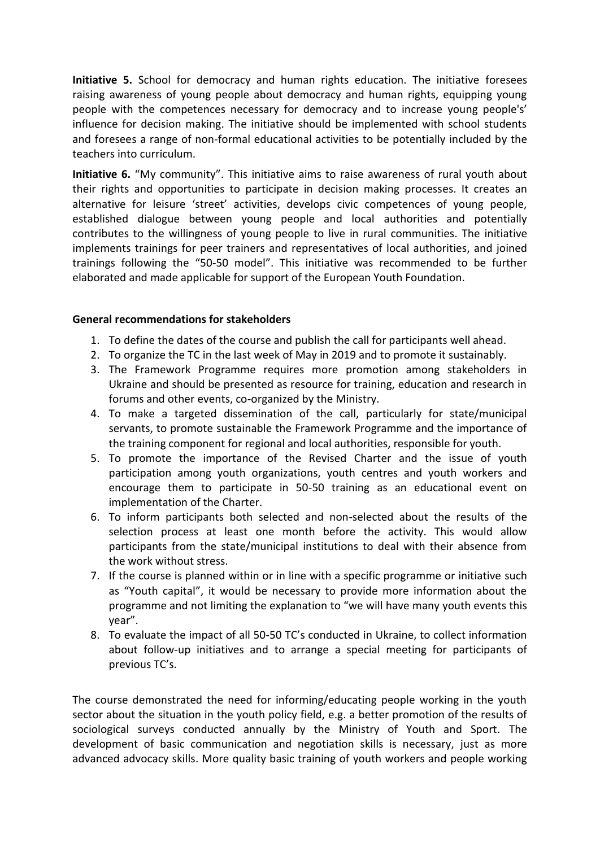**Initiative 5.** School for democracy and human rights education. The initiative foresees raising awareness of young people about democracy and human rights, equipping young people with the competences necessary for democracy and to increase young people's' influence for decision making. The initiative should be implemented with school students and foresees a range of non-formal educational activities to be potentially included by the teachers into curriculum.

**Initiative 6.** "My community". This initiative aims to raise awareness of rural youth about their rights and opportunities to participate in decision making processes. It creates an alternative for leisure 'street' activities, develops civic competences of young people, established dialogue between young people and local authorities and potentially contributes to the willingness of young people to live in rural communities. The initiative implements trainings for peer trainers and representatives of local authorities, and joined trainings following the "50-50 model". This initiative was recommended to be further elaborated and made applicable for support of the European Youth Foundation.

### **General recommendations for stakeholders**

- 1. To define the dates of the course and publish the call for participants well ahead.
- 2. To organize the TC in the last week of May in 2019 and to promote it sustainably.
- 3. The Framework Programme requires more promotion among stakeholders in Ukraine and should be presented as resource for training, education and research in forums and other events, co-organized by the Ministry.
- 4. To make a targeted dissemination of the call, particularly for state/municipal servants, to promote sustainable the Framework Programme and the importance of the training component for regional and local authorities, responsible for youth.
- 5. To promote the importance of the Revised Charter and the issue of youth participation among youth organizations, youth centres and youth workers and encourage them to participate in 50-50 training as an educational event on implementation of the Charter.
- 6. To inform participants both selected and non-selected about the results of the selection process at least one month before the activity. This would allow participants from the state/municipal institutions to deal with their absence from the work without stress.
- 7. If the course is planned within or in line with a specific programme or initiative such as "Youth capital", it would be necessary to provide more information about the programme and not limiting the explanation to "we will have many youth events this year".
- 8. To evaluate the impact of all 50-50 TC's conducted in Ukraine, to collect information about follow-up initiatives and to arrange a special meeting for participants of previous TC's.

The course demonstrated the need for informing/educating people working in the youth sector about the situation in the youth policy field, e.g. a better promotion of the results of sociological surveys conducted annually by the Ministry of Youth and Sport. The development of basic communication and negotiation skills is necessary, just as more advanced advocacy skills. More quality basic training of youth workers and people working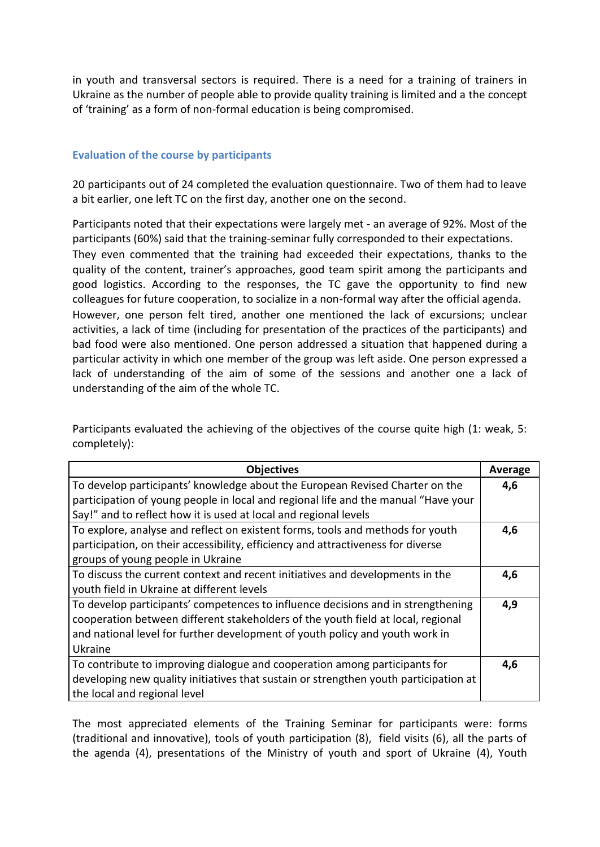in youth and transversal sectors is required. There is a need for a training of trainers in Ukraine as the number of people able to provide quality training is limited and a the concept of 'training' as a form of non-formal education is being compromised.

#### **Evaluation of the course by participants**

20 participants out of 24 completed the evaluation questionnaire. Two of them had to leave a bit earlier, one left TC on the first day, another one on the second.

Participants noted that their expectations were largely met - an average of 92%. Most of the participants (60%) said that the training-seminar fully corresponded to their expectations. They even commented that the training had exceeded their expectations, thanks to the quality of the content, trainer's approaches, good team spirit among the participants and good logistics. According to the responses, the TC gave the opportunity to find new colleagues for future cooperation, to socialize in a non-formal way after the official agenda. However, one person felt tired, another one mentioned the lack of excursions; unclear activities, a lack of time (including for presentation of the practices of the participants) and bad food were also mentioned. One person addressed a situation that happened during a particular activity in which one member of the group was left aside. One person expressed a lack of understanding of the aim of some of the sessions and another one a lack of understanding of the aim of the whole TC.

Participants evaluated the achieving of the objectives of the course quite high (1: weak, 5: completely):

| <b>Objectives</b>                                                                    | Average |
|--------------------------------------------------------------------------------------|---------|
| To develop participants' knowledge about the European Revised Charter on the         | 4,6     |
| participation of young people in local and regional life and the manual "Have your   |         |
| Say!" and to reflect how it is used at local and regional levels                     |         |
| To explore, analyse and reflect on existent forms, tools and methods for youth       | 4,6     |
| participation, on their accessibility, efficiency and attractiveness for diverse     |         |
| groups of young people in Ukraine                                                    |         |
| To discuss the current context and recent initiatives and developments in the        | 4,6     |
| youth field in Ukraine at different levels                                           |         |
| To develop participants' competences to influence decisions and in strengthening     | 4,9     |
| cooperation between different stakeholders of the youth field at local, regional     |         |
| and national level for further development of youth policy and youth work in         |         |
| Ukraine                                                                              |         |
| To contribute to improving dialogue and cooperation among participants for           | 4,6     |
| developing new quality initiatives that sustain or strengthen youth participation at |         |
| the local and regional level                                                         |         |

The most appreciated elements of the Training Seminar for participants were: forms (traditional and innovative), tools of youth participation (8), field visits (6), all the parts of the agenda (4), presentations of the Ministry of youth and sport of Ukraine (4), Youth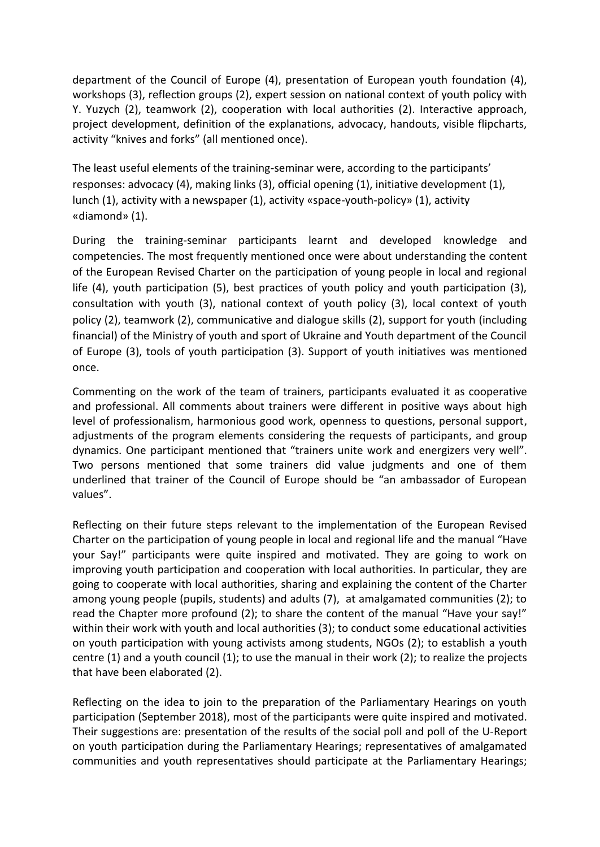department of the Council of Europe (4), presentation of European youth foundation (4), workshops (3), reflection groups (2), expert session on national context of youth policy with Y. Yuzych (2), teamwork (2), cooperation with local authorities (2). Interactive approach, project development, definition of the explanations, advocacy, handouts, visible flipcharts, activity "knives and forks" (all mentioned once).

The least useful elements of the training-seminar were, according to the participants' responses: advocacy (4), making links (3), official opening (1), initiative development (1), lunch (1), activity with a newspaper (1), activity «space-youth-policy» (1), activity «diamond» (1).

During the training-seminar participants learnt and developed knowledge and competencies. The most frequently mentioned once were about understanding the content of the European Revised Charter on the participation of young people in local and regional life (4), youth participation (5), best practices of youth policy and youth participation (3), consultation with youth (3), national context of youth policy (3), local context of youth policy (2), teamwork (2), communicative and dialogue skills (2), support for youth (including financial) of the Ministry of youth and sport of Ukraine and Youth department of the Council of Europe (3), tools of youth participation (3). Support of youth initiatives was mentioned once.

Commenting on the work of the team of trainers, participants evaluated it as cooperative and professional. All comments about trainers were different in positive ways about high level of professionalism, harmonious good work, openness to questions, personal support, adjustments of the program elements considering the requests of participants, and group dynamics. One participant mentioned that "trainers unite work and energizers very well". Two persons mentioned that some trainers did value judgments and one of them underlined that trainer of the Council of Europe should be "an ambassador of European values".

Reflecting on their future steps relevant to the implementation of the European Revised Charter on the participation of young people in local and regional life and the manual "Have your Say!" participants were quite inspired and motivated. They are going to work on improving youth participation and cooperation with local authorities. In particular, they are going to cooperate with local authorities, sharing and explaining the content of the Charter among young people (pupils, students) and adults (7), at amalgamated communities (2); to read the Chapter more profound (2); to share the content of the manual "Have your say!" within their work with youth and local authorities (3); to conduct some educational activities on youth participation with young activists among students, NGOs (2); to establish a youth centre (1) and a youth council (1); to use the manual in their work (2); to realize the projects that have been elaborated (2).

Reflecting on the idea to join to the preparation of the Parliamentary Hearings on youth participation (September 2018), most of the participants were quite inspired and motivated. Their suggestions are: presentation of the results of the social poll and poll of the U-Report on youth participation during the Parliamentary Hearings; representatives of amalgamated communities and youth representatives should participate at the Parliamentary Hearings;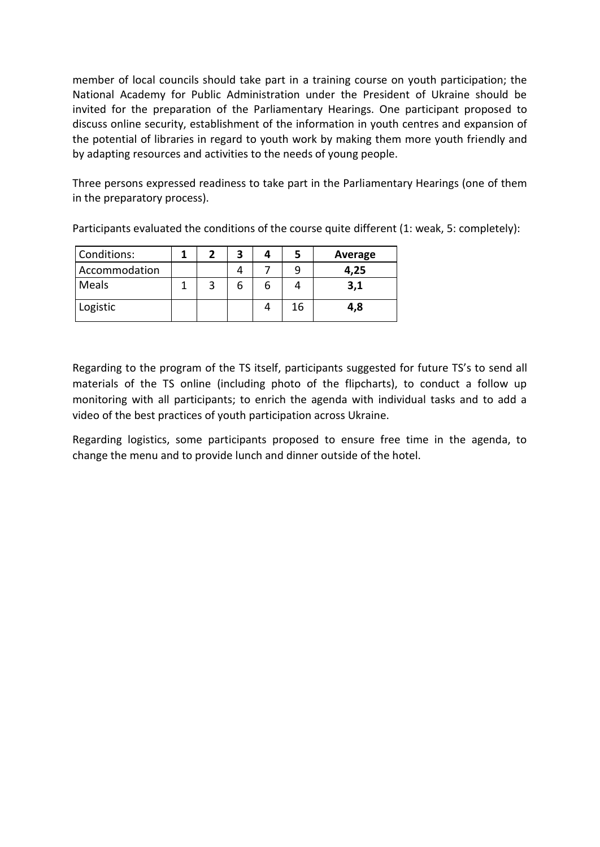member of local councils should take part in a training course on youth participation; the National Academy for Public Administration under the President of Ukraine should be invited for the preparation of the Parliamentary Hearings. One participant proposed to discuss online security, establishment of the information in youth centres and expansion of the potential of libraries in regard to youth work by making them more youth friendly and by adapting resources and activities to the needs of young people.

Three persons expressed readiness to take part in the Parliamentary Hearings (one of them in the preparatory process).

| Conditions:   |  | 3 |    | Average |
|---------------|--|---|----|---------|
| Accommodation |  |   |    | 4,25    |
| Meals         |  |   |    | 3,1     |
| Logistic      |  |   | 16 | 4,8     |

Participants evaluated the conditions of the course quite different (1: weak, 5: completely):

Regarding to the program of the TS itself, participants suggested for future TS's to send all materials of the TS online (including photo of the flipcharts), to conduct a follow up monitoring with all participants; to enrich the agenda with individual tasks and to add a video of the best practices of youth participation across Ukraine.

Regarding logistics, some participants proposed to ensure free time in the agenda, to change the menu and to provide lunch and dinner outside of the hotel.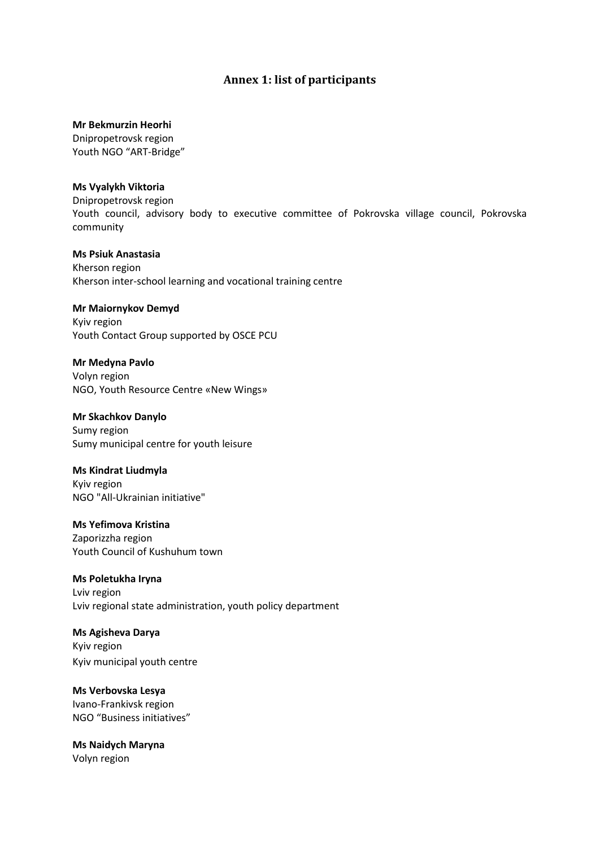## **Annex 1: list of participants**

#### **Mr Bekmurzin Heorhi**

Dnipropetrovsk region Youth NGO "ART-Bridge"

#### **Ms Vyalykh Viktoria**

Dnipropetrovsk region Youth council, advisory body to executive committee of Pokrovska village council, Pokrovska community

#### **Ms Psiuk Anastasia**  Kherson region Kherson inter-school learning and vocational training centre

#### **Mr Maiornykov Demyd**

Kyiv region Youth Contact Group supported by OSCE PCU

#### **Mr Medyna Pavlo**

Volyn region NGO, Youth Resource Centre «New Wings»

#### **Mr Skachkov Danylo**

Sumy region Sumy municipal centre for youth leisure

#### **Ms Kindrat Liudmyla**

Kyiv region NGO "All-Ukrainian initiative"

#### **Ms Yefimova Kristina**  Zaporizzha region Youth Council of Kushuhum town

#### **Ms Poletukha Iryna**  Lviv region Lviv regional state administration, youth policy department

# **Ms Agisheva Darya**  Kyiv region

Kyiv municipal youth centre

#### **Ms Verbovska Lesya**  Ivano-Frankivsk region

NGO "Business initiatives"

#### **Ms Naidych Maryna** Volyn region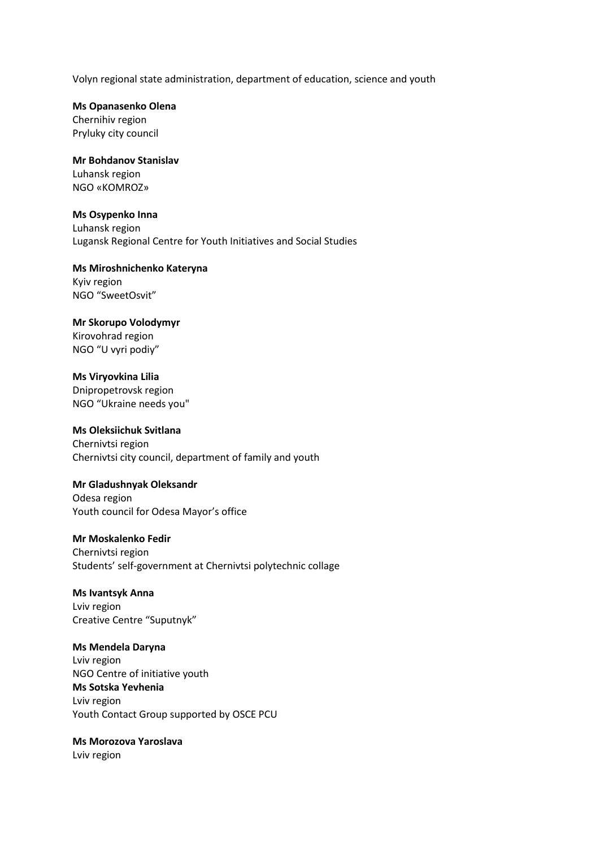Volyn regional state administration, department of education, science and youth

**Ms Opanasenko Olena** Chernihiv region Pryluky city council

**Mr Bohdanov Stanislav** Luhansk region NGO «KOMROZ»

**Ms Osypenko Inna**  Luhansk region Lugansk Regional Centre for Youth Initiatives and Social Studies

**Ms Miroshnichenko Kateryna** Kyiv region NGO "SweetOsvit"

**Mr Skorupo Volodymyr**  Kirovohrad region NGO "U vyri podiy"

**Ms Viryovkina Lilia**  Dnipropetrovsk region NGO "Ukraine needs you"

**Ms Oleksiichuk Svitlana** Chernivtsi region Chernivtsi city council, department of family and youth

**Mr Gladushnyak Oleksandr**  Odesa region Youth council for Odesa Mayor's office

**Mr Moskalenko Fedir**  Chernivtsi region Students' self-government at Chernivtsi polytechnic collage

**Ms Ivantsyk Anna** Lviv region Creative Centre "Suputnyk"

**Ms Mendela Daryna**  Lviv region NGO Centre of initiative youth **Ms Sotska Yevhenia**  Lviv region Youth Contact Group supported by OSCE PCU

**Ms Morozova Yaroslava** 

Lviv region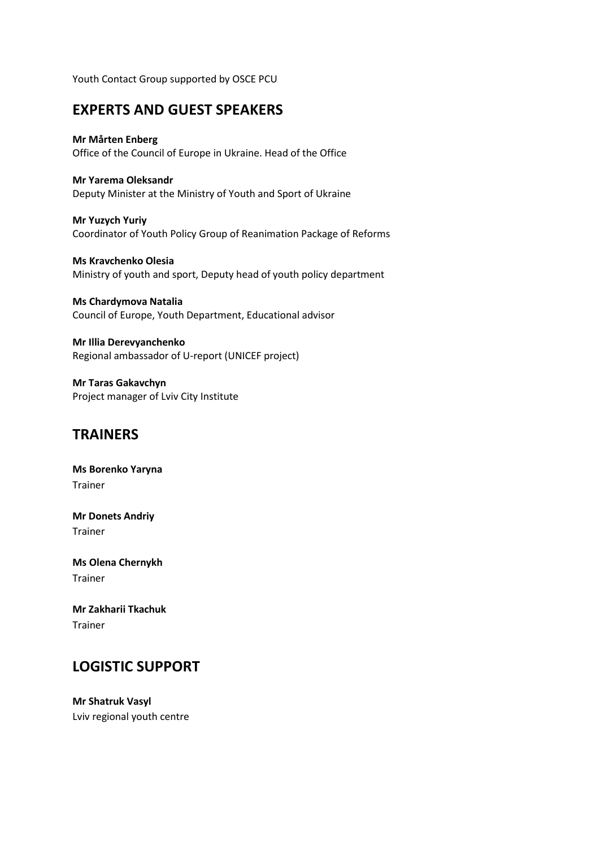Youth Contact Group supported by OSCE PCU

# **EXPERTS AND GUEST SPEAKERS**

#### **Mr Mårten Enberg**

Office of the Council of Europe in Ukraine. Head of the Office

#### **Mr Yarema Oleksandr**

Deputy Minister at the Ministry of Youth and Sport of Ukraine

**Mr Yuzych Yuriy**  Coordinator of Youth Policy Group of Reanimation Package of Reforms

**Ms Kravchenko Olesia**  Ministry of youth and sport, Deputy head of youth policy department

**Ms Chardymova Natalia** Council of Europe, Youth Department, Educational advisor

**Mr Illia Derevyanchenko** Regional ambassador of U-report (UNICEF project)

**Mr Taras Gakavchyn** Project manager of Lviv City Institute

# **TRAINERS**

**Ms Borenko Yaryna**  Trainer

**Mr Donets Andriy** Trainer

**Ms Olena Chernykh**  Trainer

**Mr Zakharii Tkachuk**  Trainer

# **LOGISTIC SUPPORT**

**Mr Shatruk Vasyl** Lviv regional youth centre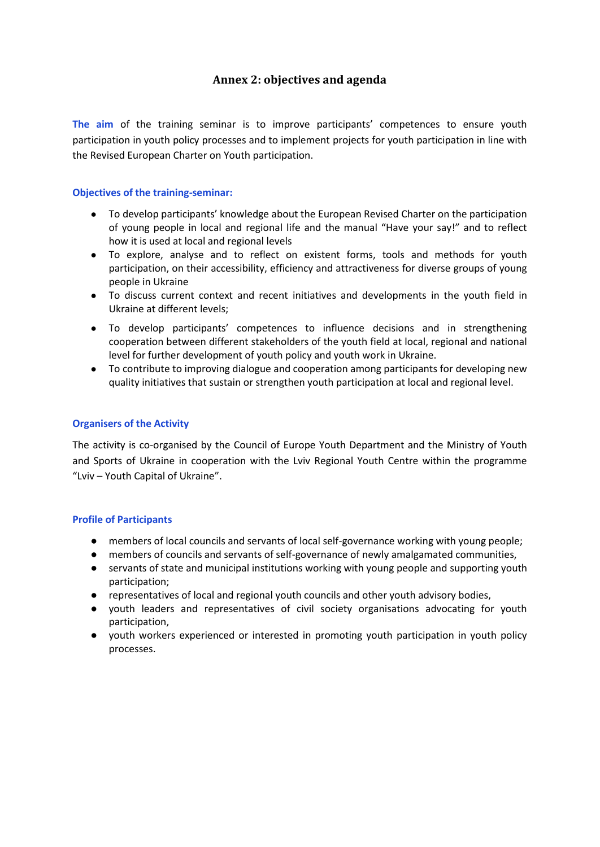# **Annex 2: objectives and agenda**

**The aim** of the training seminar is to improve participants' competences to ensure youth participation in youth policy processes and to implement projects for youth participation in line with the Revised European Charter on Youth participation.

#### **Objectives of the training-seminar:**

- To develop participants' knowledge about the European Revised Charter on the participation of young people in local and regional life and the manual "Have your say!" and to reflect how it is used at local and regional levels
- To explore, analyse and to reflect on existent forms, tools and methods for youth participation, on their accessibility, efficiency and attractiveness for diverse groups of young people in Ukraine
- To discuss current context and recent initiatives and developments in the youth field in Ukraine at different levels;
- To develop participants' competences to influence decisions and in strengthening cooperation between different stakeholders of the youth field at local, regional and national level for further development of youth policy and youth work in Ukraine.
- To contribute to improving dialogue and cooperation among participants for developing new quality initiatives that sustain or strengthen youth participation at local and regional level.

#### **Organisers of the Activity**

The activity is co-organised by the Council of Europe Youth Department and the Ministry of Youth and Sports of Ukraine in cooperation with the Lviv Regional Youth Centre within the programme "Lviv – Youth Capital of Ukraine".

#### **Profile of Participants**

- members of local councils and servants of local self-governance working with young people;
- members of councils and servants of self-governance of newly amalgamated communities,
- servants of state and municipal institutions working with young people and supporting youth participation;
- representatives of local and regional youth councils and other youth advisory bodies,
- youth leaders and representatives of civil society organisations advocating for youth participation,
- youth workers experienced or interested in promoting youth participation in youth policy processes.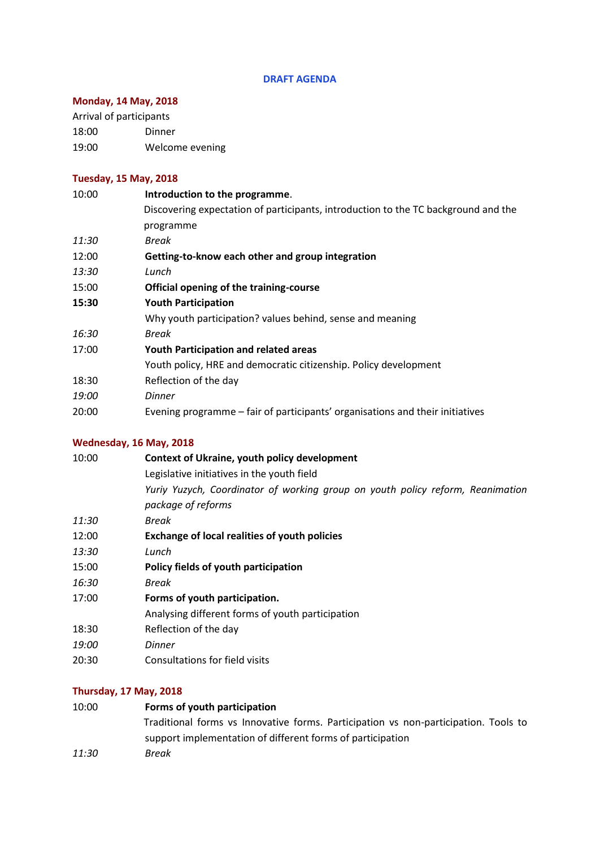#### **DRAFT AGENDA**

# **Monday, 14 May, 2018**

Arrival of participants

18:00 Dinner 19:00 Welcome evening

# **Tuesday, 15 May, 2018**

| 10:00 | Introduction to the programme.                                                     |
|-------|------------------------------------------------------------------------------------|
|       | Discovering expectation of participants, introduction to the TC background and the |
|       | programme                                                                          |
| 11:30 | Break                                                                              |
| 12:00 | Getting-to-know each other and group integration                                   |
| 13:30 | Lunch                                                                              |
| 15:00 | Official opening of the training-course                                            |
| 15:30 | <b>Youth Participation</b>                                                         |
|       | Why youth participation? values behind, sense and meaning                          |
| 16:30 | Break                                                                              |
| 17:00 | Youth Participation and related areas                                              |
|       | Youth policy, HRE and democratic citizenship. Policy development                   |
| 18:30 | Reflection of the day                                                              |
| 19:00 | <b>Dinner</b>                                                                      |
| 20:00 | Evening programme – fair of participants' organisations and their initiatives      |
|       |                                                                                    |

# **Wednesday, 16 May, 2018**

| 10:00 | Context of Ukraine, youth policy development                                   |
|-------|--------------------------------------------------------------------------------|
|       | Legislative initiatives in the youth field                                     |
|       | Yuriy Yuzych, Coordinator of working group on youth policy reform, Reanimation |
|       | package of reforms                                                             |
| 11:30 | Break                                                                          |
| 12:00 | <b>Exchange of local realities of youth policies</b>                           |
| 13:30 | Lunch                                                                          |
| 15:00 | Policy fields of youth participation                                           |
| 16:30 | Break                                                                          |
| 17:00 | Forms of youth participation.                                                  |
|       | Analysing different forms of youth participation                               |
| 18:30 | Reflection of the day                                                          |
| 19:00 | Dinner                                                                         |
| 20:30 | Consultations for field visits                                                 |
|       |                                                                                |

# **Thursday, 17 May, 2018**

| 10:00 | Forms of youth participation                                                        |
|-------|-------------------------------------------------------------------------------------|
|       | Traditional forms vs Innovative forms. Participation vs non-participation. Tools to |
|       | support implementation of different forms of participation                          |
| 11:30 | Break                                                                               |